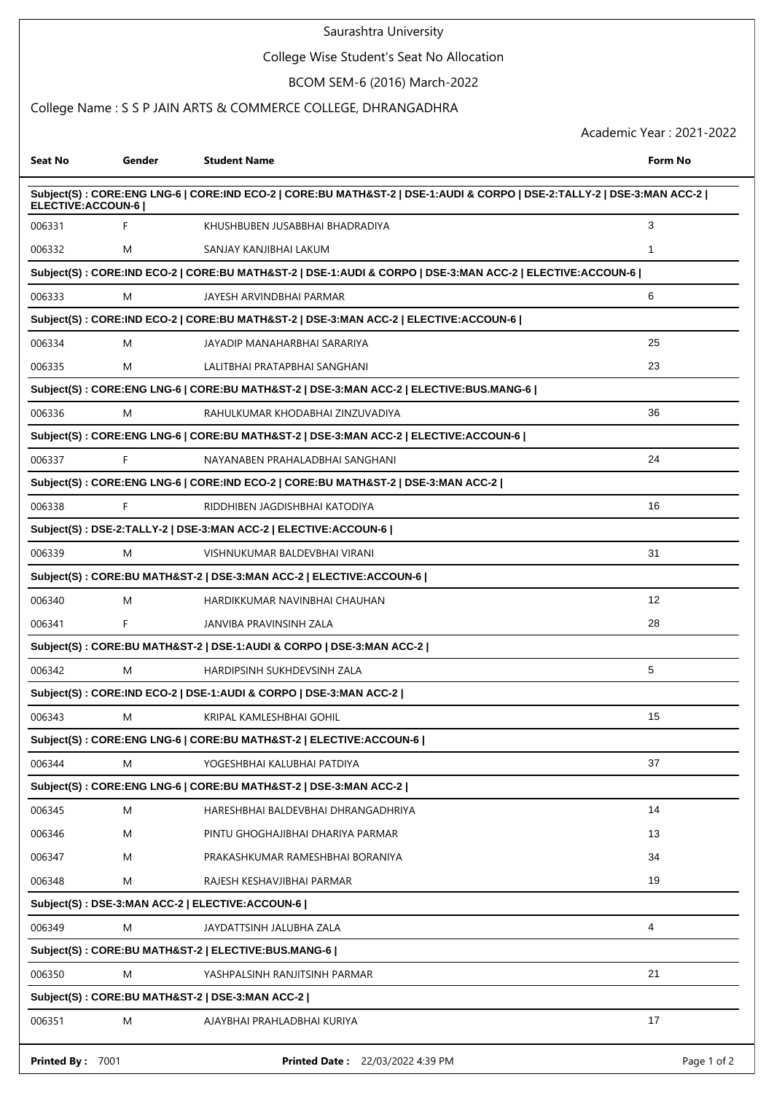#### Saurashtra University

## College Wise Student's Seat No Allocation

## BCOM SEM-6 (2016) March-2022

## College Name : S S P JAIN ARTS & COMMERCE COLLEGE, DHRANGADHRA

Academic Year : 2021-2022

| Seat No            | Gender | <b>Student Name</b>                                                                                                     | Form No           |
|--------------------|--------|-------------------------------------------------------------------------------------------------------------------------|-------------------|
| ELECTIVE: ACCOUN-6 |        | Subject(S) : CORE:ENG LNG-6   CORE:IND ECO-2   CORE:BU MATH&ST-2   DSE-1:AUDI & CORPO   DSE-2:TALLY-2   DSE-3:MAN ACC-2 |                   |
| 006331             | F      | KHUSHBUBEN JUSABBHAI BHADRADIYA                                                                                         | 3                 |
| 006332             | M      | SANJAY KANJIBHAI LAKUM                                                                                                  | 1                 |
|                    |        | Subject(S) : CORE:IND ECO-2   CORE:BU MATH&ST-2   DSE-1:AUDI & CORPO   DSE-3:MAN ACC-2   ELECTIVE:ACCOUN-6              |                   |
| 006333             | M      | JAYESH ARVINDBHAI PARMAR                                                                                                | 6                 |
|                    |        | Subject(S) : CORE:IND ECO-2   CORE:BU MATH&ST-2   DSE-3:MAN ACC-2   ELECTIVE:ACCOUN-6                                   |                   |
| 006334             | M      | JAYADIP MANAHARBHAI SARARIYA                                                                                            | 25                |
| 006335             | M      | LALITBHAI PRATAPBHAI SANGHANI                                                                                           | 23                |
|                    |        | Subject(S) : CORE:ENG LNG-6   CORE:BU MATH&ST-2   DSE-3:MAN ACC-2   ELECTIVE:BUS.MANG-6                                 |                   |
| 006336             | M      | RAHULKUMAR KHODABHAI ZINZUVADIYA                                                                                        | 36                |
|                    |        | Subject(S) : CORE:ENG LNG-6   CORE:BU MATH&ST-2   DSE-3:MAN ACC-2   ELECTIVE:ACCOUN-6                                   |                   |
| 006337             | F      | NAYANABEN PRAHALADBHAI SANGHANI                                                                                         | 24                |
|                    |        | Subject(S) : CORE:ENG LNG-6   CORE:IND ECO-2   CORE:BU MATH&ST-2   DSE-3:MAN ACC-2                                      |                   |
| 006338             | F      | RIDDHIBEN JAGDISHBHAI KATODIYA                                                                                          | 16                |
|                    |        | Subject(S): DSE-2:TALLY-2   DSE-3:MAN ACC-2   ELECTIVE:ACCOUN-6                                                         |                   |
| 006339             | M      | VISHNUKUMAR BALDEVBHAI VIRANI                                                                                           | 31                |
|                    |        | Subject(S): CORE:BU MATH&ST-2   DSE-3:MAN ACC-2   ELECTIVE:ACCOUN-6                                                     |                   |
| 006340             | M      | HARDIKKUMAR NAVINBHAI CHAUHAN                                                                                           | $12 \overline{ }$ |
| 006341             | F      | JANVIBA PRAVINSINH ZALA                                                                                                 | 28                |
|                    |        | Subject(S): CORE:BU MATH&ST-2   DSE-1:AUDI & CORPO   DSE-3:MAN ACC-2                                                    |                   |
| 006342             | M      | HARDIPSINH SUKHDEVSINH ZALA                                                                                             | 5                 |
|                    |        | Subject(S): CORE:IND ECO-2   DSE-1:AUDI & CORPO   DSE-3:MAN ACC-2                                                       |                   |
| 006343             | M      | KRIPAL KAMLESHBHAI GOHIL                                                                                                | 15                |
|                    |        | Subject(S): CORE:ENG LNG-6   CORE:BU MATH&ST-2   ELECTIVE:ACCOUN-6                                                      |                   |
| 006344             | M      | YOGESHBHAI KALUBHAI PATDIYA                                                                                             | 37                |
|                    |        | Subject(S): CORE: ENG LNG-6   CORE: BU MATH& ST-2   DSE-3: MAN ACC-2                                                    |                   |
| 006345             | M      | HARESHBHAI BALDEVBHAI DHRANGADHRIYA                                                                                     | 14                |
| 006346             | M      | PINTU GHOGHAJIBHAI DHARIYA PARMAR                                                                                       | 13                |
| 006347             | M      | PRAKASHKUMAR RAMESHBHAI BORANIYA                                                                                        | 34                |
| 006348             | M      | RAJESH KESHAVJIBHAI PARMAR                                                                                              | 19                |
|                    |        | Subject(S): DSE-3:MAN ACC-2   ELECTIVE:ACCOUN-6                                                                         |                   |
| 006349             | M      | JAYDATTSINH JALUBHA ZALA                                                                                                | 4                 |
|                    |        | Subject(S): CORE:BU MATH&ST-2   ELECTIVE:BUS.MANG-6                                                                     |                   |
| 006350             | M      | YASHPALSINH RANJITSINH PARMAR                                                                                           | 21                |
|                    |        | Subject(S): CORE: BU MATH&ST-2   DSE-3: MAN ACC-2                                                                       |                   |
| 006351             | M      | AJAYBHAI PRAHLADBHAI KURIYA                                                                                             | 17                |
| Printed By: 7001   |        | Printed Date: 22/03/2022 4:39 PM                                                                                        | Page 1 of 2       |